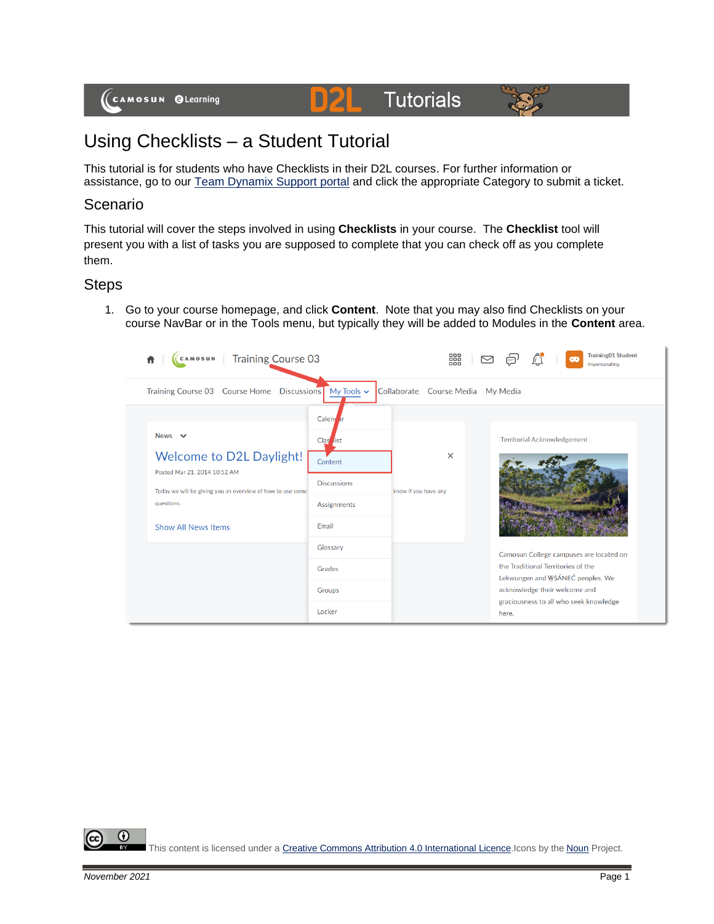

## **Tutorials**



## Using Checklists – a Student Tutorial

This tutorial is for students who have Checklists in their D2L courses. For further information or assistance, go to our [Team Dynamix Support portal](https://camosun.teamdynamix.com/TDClient/67/Portal/Requests/ServiceCatalog?CategoryID=524) and click the appropriate Category to submit a ticket.

D

## Scenario

This tutorial will cover the steps involved in using **Checklists** in your course. The **Checklist** tool will present you with a list of tasks you are supposed to complete that you can check off as you complete them.

## Steps

1. Go to your course homepage, and click **Content**. Note that you may also find Checklists on your course NavBar or in the Tools menu, but typically they will be added to Modules in the **Content** area.

| <b>Training Course 03</b><br><b>CAMOSUN</b><br>π                                                                                                                    |                                                                                              | 器                                | <b>Training01 Student</b><br>$\bullet$<br>Impersonating                                                           |
|---------------------------------------------------------------------------------------------------------------------------------------------------------------------|----------------------------------------------------------------------------------------------|----------------------------------|-------------------------------------------------------------------------------------------------------------------|
| <b>Course Home</b><br><b>Training Course 03</b>                                                                                                                     | Discussions My Tools v                                                                       | Collaborate Course Media         | My Media                                                                                                          |
| <b>News</b><br>$\checkmark$<br>Welcome to D2L Daylight!<br>Posted Mar 21, 2014 10:52 AM<br>Today we will be giving you an overview of how to use some<br>questions. | Calend <sub>ar</sub><br>Clas <sub>list</sub><br>Content<br><b>Discussions</b><br>Assignments | $\times$<br>know if you have any | <b>Territorial Acknowledgement</b>                                                                                |
| <b>Show All News Items</b>                                                                                                                                          | Email                                                                                        |                                  |                                                                                                                   |
|                                                                                                                                                                     | Glossary<br>Grades                                                                           |                                  | Camosun College campuses are located on<br>the Traditional Territories of the<br>Lekwungen and WSÁNEC peoples. We |
|                                                                                                                                                                     | Groups                                                                                       |                                  | acknowledge their welcome and<br>graciousness to all who seek knowledge                                           |
|                                                                                                                                                                     | Locker                                                                                       |                                  | here.                                                                                                             |

⋒ This content is licensed under [a Creative Commons Attribution 4.0 International Licence.I](https://creativecommons.org/licenses/by/4.0/)cons by the [Noun](https://creativecommons.org/website-icons/) Project.